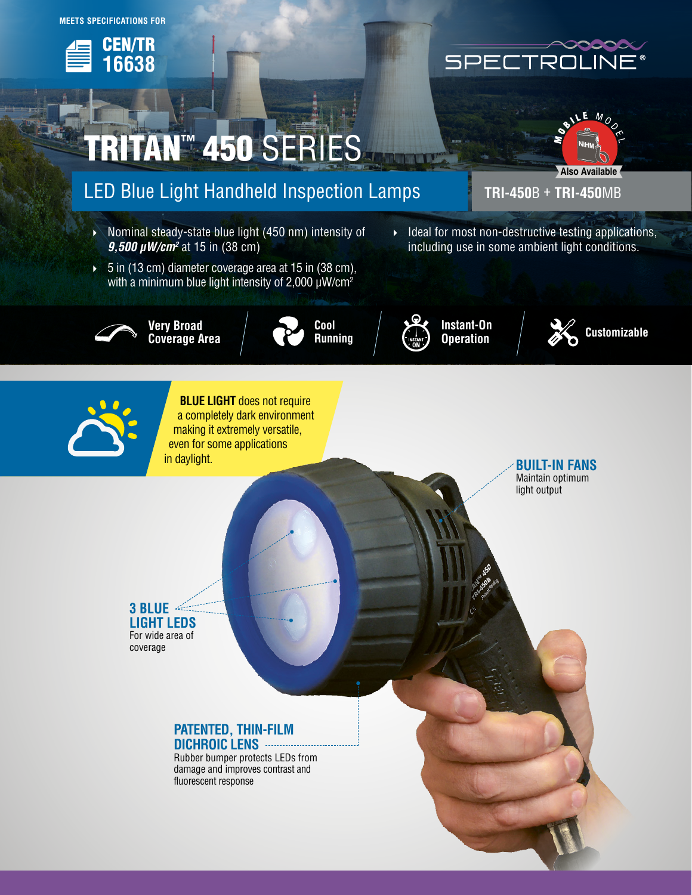

# **RITAN™ 450 SERIES**

## LED Blue Light Handheld Inspection Lamps **TRI-450**B + **TRI-450**MB

- Nominal steady-state blue light (450 nm) intensity of *9,500 µW/cm2* at 15 in (38 cm)
- $5$  in (13 cm) diameter coverage area at 15 in (38 cm), with a minimum blue light intensity of 2,000  $\mu$ W/cm<sup>2</sup>



**Very Broad Coverage Area**





**Instant-On Operation**





**BLUE LIGHT** does not require a completely dark environment making it extremely versatile, even for some applications in daylight.

**BUILT-IN FANS** Maintain optimum light output

**3 BLUE LIGHT LEDS** For wide area of coverage

#### **PATENTED, THIN-FILM DICHROIC LENS**

Rubber bumper protects LEDs from damage and improves contrast and fluorescent response

## SPECTROL  $\mathsf{L}$



**Customizable**

 $\blacktriangleright$  Ideal for most non-destructive testing applications, including use in some ambient light conditions.